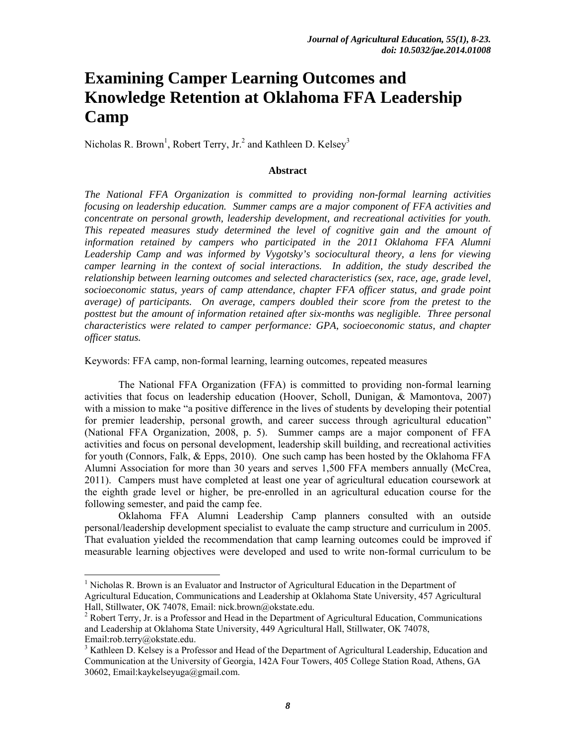# **Examining Camper Learning Outcomes and Knowledge Retention at Oklahoma FFA Leadership Camp**

Nicholas R. Brown<sup>1</sup>, Robert Terry, Jr.<sup>2</sup> and Kathleen D. Kelsey<sup>3</sup>

#### **Abstract**

*The National FFA Organization is committed to providing non-formal learning activities focusing on leadership education. Summer camps are a major component of FFA activities and concentrate on personal growth, leadership development, and recreational activities for youth. This repeated measures study determined the level of cognitive gain and the amount of information retained by campers who participated in the 2011 Oklahoma FFA Alumni Leadership Camp and was informed by Vygotsky's sociocultural theory, a lens for viewing camper learning in the context of social interactions. In addition, the study described the relationship between learning outcomes and selected characteristics (sex, race, age, grade level, socioeconomic status, years of camp attendance, chapter FFA officer status, and grade point average) of participants. On average, campers doubled their score from the pretest to the*  posttest but the amount of information retained after six-months was negligible. Three personal *characteristics were related to camper performance: GPA, socioeconomic status, and chapter officer status.* 

Keywords: FFA camp, non-formal learning, learning outcomes, repeated measures

The National FFA Organization (FFA) is committed to providing non-formal learning activities that focus on leadership education (Hoover, Scholl, Dunigan, & Mamontova, 2007) with a mission to make "a positive difference in the lives of students by developing their potential for premier leadership, personal growth, and career success through agricultural education" (National FFA Organization, 2008, p. 5). Summer camps are a major component of FFA activities and focus on personal development, leadership skill building, and recreational activities for youth (Connors, Falk, & Epps, 2010). One such camp has been hosted by the Oklahoma FFA Alumni Association for more than 30 years and serves 1,500 FFA members annually (McCrea, 2011). Campers must have completed at least one year of agricultural education coursework at the eighth grade level or higher, be pre-enrolled in an agricultural education course for the following semester, and paid the camp fee.

Oklahoma FFA Alumni Leadership Camp planners consulted with an outside personal/leadership development specialist to evaluate the camp structure and curriculum in 2005. That evaluation yielded the recommendation that camp learning outcomes could be improved if measurable learning objectives were developed and used to write non-formal curriculum to be

 

<sup>&</sup>lt;sup>1</sup> Nicholas R. Brown is an Evaluator and Instructor of Agricultural Education in the Department of Agricultural Education, Communications and Leadership at Oklahoma State University, 457 Agricultural Hall, Stillwater, OK 74078, Email: nick.brown@okstate.edu.

 $2^2$  Robert Terry, Jr. is a Professor and Head in the Department of Agricultural Education, Communications and Leadership at Oklahoma State University, 449 Agricultural Hall, Stillwater, OK 74078, Email:rob.terry@okstate.edu.

<sup>&</sup>lt;sup>3</sup> Kathleen D. Kelsey is a Professor and Head of the Department of Agricultural Leadership, Education and Communication at the University of Georgia, 142A Four Towers, 405 College Station Road, Athens, GA 30602, Email:kaykelseyuga@gmail.com.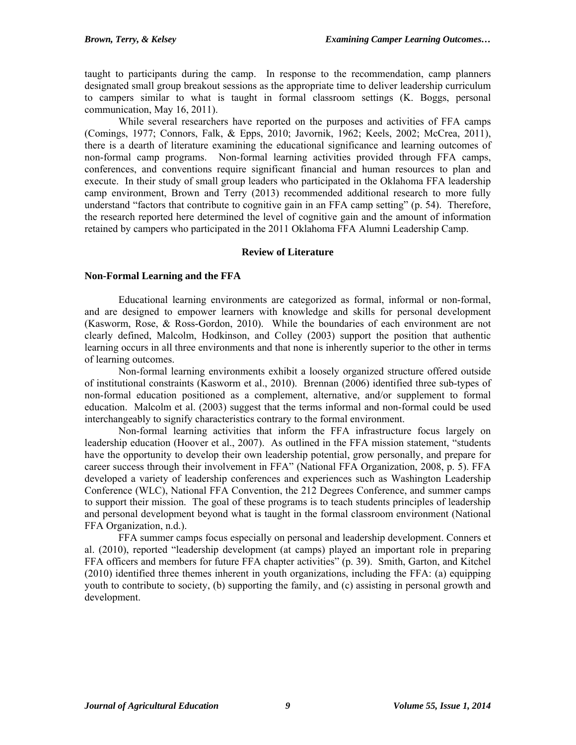taught to participants during the camp. In response to the recommendation, camp planners designated small group breakout sessions as the appropriate time to deliver leadership curriculum to campers similar to what is taught in formal classroom settings (K. Boggs, personal communication, May 16, 2011).

While several researchers have reported on the purposes and activities of FFA camps (Comings, 1977; Connors, Falk, & Epps, 2010; Javornik, 1962; Keels, 2002; McCrea, 2011), there is a dearth of literature examining the educational significance and learning outcomes of non-formal camp programs. Non-formal learning activities provided through FFA camps, conferences, and conventions require significant financial and human resources to plan and execute. In their study of small group leaders who participated in the Oklahoma FFA leadership camp environment, Brown and Terry (2013) recommended additional research to more fully understand "factors that contribute to cognitive gain in an FFA camp setting" (p. 54). Therefore, the research reported here determined the level of cognitive gain and the amount of information retained by campers who participated in the 2011 Oklahoma FFA Alumni Leadership Camp.

# **Review of Literature**

### **Non-Formal Learning and the FFA**

Educational learning environments are categorized as formal, informal or non-formal, and are designed to empower learners with knowledge and skills for personal development (Kasworm, Rose, & Ross-Gordon, 2010). While the boundaries of each environment are not clearly defined, Malcolm, Hodkinson, and Colley (2003) support the position that authentic learning occurs in all three environments and that none is inherently superior to the other in terms of learning outcomes.

Non-formal learning environments exhibit a loosely organized structure offered outside of institutional constraints (Kasworm et al., 2010). Brennan (2006) identified three sub-types of non-formal education positioned as a complement, alternative, and/or supplement to formal education. Malcolm et al. (2003) suggest that the terms informal and non-formal could be used interchangeably to signify characteristics contrary to the formal environment.

Non-formal learning activities that inform the FFA infrastructure focus largely on leadership education (Hoover et al., 2007). As outlined in the FFA mission statement, "students have the opportunity to develop their own leadership potential, grow personally, and prepare for career success through their involvement in FFA" (National FFA Organization, 2008, p. 5). FFA developed a variety of leadership conferences and experiences such as Washington Leadership Conference (WLC), National FFA Convention, the 212 Degrees Conference, and summer camps to support their mission. The goal of these programs is to teach students principles of leadership and personal development beyond what is taught in the formal classroom environment (National FFA Organization, n.d.).

FFA summer camps focus especially on personal and leadership development. Conners et al. (2010), reported "leadership development (at camps) played an important role in preparing FFA officers and members for future FFA chapter activities" (p. 39). Smith, Garton, and Kitchel (2010) identified three themes inherent in youth organizations, including the FFA: (a) equipping youth to contribute to society, (b) supporting the family, and (c) assisting in personal growth and development.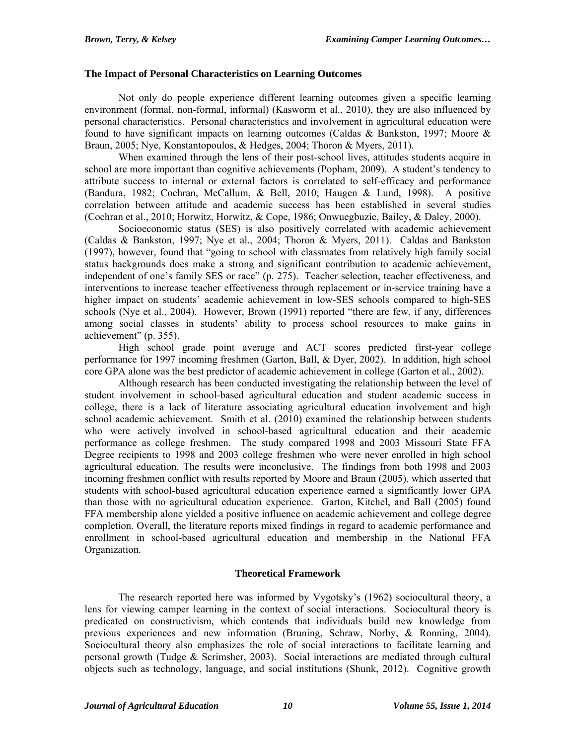### **The Impact of Personal Characteristics on Learning Outcomes**

Not only do people experience different learning outcomes given a specific learning environment (formal, non-formal, informal) (Kasworm et al., 2010), they are also influenced by personal characteristics. Personal characteristics and involvement in agricultural education were found to have significant impacts on learning outcomes (Caldas & Bankston, 1997; Moore & Braun, 2005; Nye, Konstantopoulos, & Hedges, 2004; Thoron & Myers, 2011).

When examined through the lens of their post-school lives, attitudes students acquire in school are more important than cognitive achievements (Popham, 2009). A student's tendency to attribute success to internal or external factors is correlated to self-efficacy and performance (Bandura, 1982; Cochran, McCallum, & Bell, 2010; Haugen & Lund, 1998). A positive correlation between attitude and academic success has been established in several studies (Cochran et al., 2010; Horwitz, Horwitz, & Cope, 1986; Onwuegbuzie, Bailey, & Daley, 2000).

Socioeconomic status (SES) is also positively correlated with academic achievement (Caldas & Bankston, 1997; Nye et al., 2004; Thoron & Myers, 2011). Caldas and Bankston (1997), however, found that "going to school with classmates from relatively high family social status backgrounds does make a strong and significant contribution to academic achievement, independent of one's family SES or race" (p. 275). Teacher selection, teacher effectiveness, and interventions to increase teacher effectiveness through replacement or in-service training have a higher impact on students' academic achievement in low-SES schools compared to high-SES schools (Nye et al., 2004). However, Brown (1991) reported "there are few, if any, differences among social classes in students' ability to process school resources to make gains in achievement" (p. 355).

High school grade point average and ACT scores predicted first-year college performance for 1997 incoming freshmen (Garton, Ball, & Dyer, 2002). In addition, high school core GPA alone was the best predictor of academic achievement in college (Garton et al., 2002).

Although research has been conducted investigating the relationship between the level of student involvement in school-based agricultural education and student academic success in college, there is a lack of literature associating agricultural education involvement and high school academic achievement. Smith et al. (2010) examined the relationship between students who were actively involved in school-based agricultural education and their academic performance as college freshmen. The study compared 1998 and 2003 Missouri State FFA Degree recipients to 1998 and 2003 college freshmen who were never enrolled in high school agricultural education. The results were inconclusive. The findings from both 1998 and 2003 incoming freshmen conflict with results reported by Moore and Braun (2005), which asserted that students with school-based agricultural education experience earned a significantly lower GPA than those with no agricultural education experience. Garton, Kitchel, and Ball (2005) found FFA membership alone yielded a positive influence on academic achievement and college degree completion. Overall, the literature reports mixed findings in regard to academic performance and enrollment in school-based agricultural education and membership in the National FFA Organization.

### **Theoretical Framework**

The research reported here was informed by Vygotsky's (1962) sociocultural theory, a lens for viewing camper learning in the context of social interactions. Sociocultural theory is predicated on constructivism, which contends that individuals build new knowledge from previous experiences and new information (Bruning, Schraw, Norby, & Ronning, 2004). Sociocultural theory also emphasizes the role of social interactions to facilitate learning and personal growth (Tudge & Scrimsher, 2003). Social interactions are mediated through cultural objects such as technology, language, and social institutions (Shunk, 2012). Cognitive growth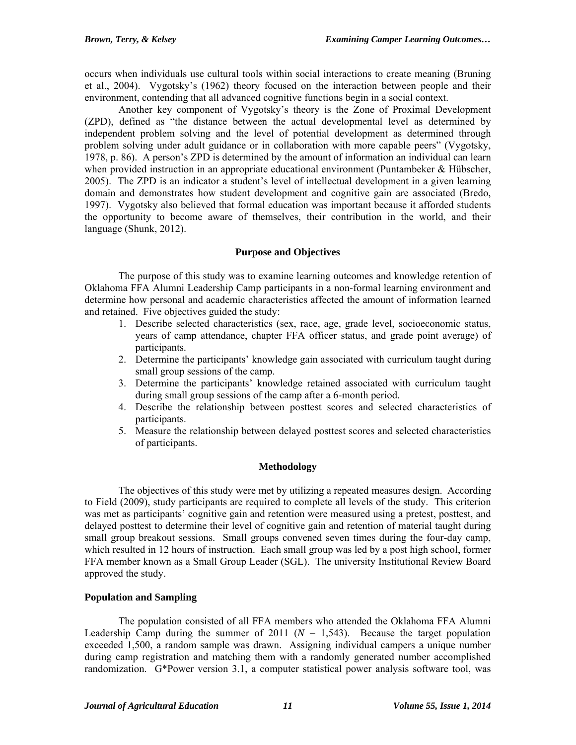occurs when individuals use cultural tools within social interactions to create meaning (Bruning et al., 2004). Vygotsky's (1962) theory focused on the interaction between people and their environment, contending that all advanced cognitive functions begin in a social context.

Another key component of Vygotsky's theory is the Zone of Proximal Development (ZPD), defined as "the distance between the actual developmental level as determined by independent problem solving and the level of potential development as determined through problem solving under adult guidance or in collaboration with more capable peers" (Vygotsky, 1978, p. 86). A person's ZPD is determined by the amount of information an individual can learn when provided instruction in an appropriate educational environment (Puntambeker  $\&$  Hübscher, 2005). The ZPD is an indicator a student's level of intellectual development in a given learning domain and demonstrates how student development and cognitive gain are associated (Bredo, 1997). Vygotsky also believed that formal education was important because it afforded students the opportunity to become aware of themselves, their contribution in the world, and their language (Shunk, 2012).

# **Purpose and Objectives**

The purpose of this study was to examine learning outcomes and knowledge retention of Oklahoma FFA Alumni Leadership Camp participants in a non-formal learning environment and determine how personal and academic characteristics affected the amount of information learned and retained. Five objectives guided the study:

- 1. Describe selected characteristics (sex, race, age, grade level, socioeconomic status, years of camp attendance, chapter FFA officer status, and grade point average) of participants.
- 2. Determine the participants' knowledge gain associated with curriculum taught during small group sessions of the camp.
- 3. Determine the participants' knowledge retained associated with curriculum taught during small group sessions of the camp after a 6-month period.
- 4. Describe the relationship between posttest scores and selected characteristics of participants.
- 5. Measure the relationship between delayed posttest scores and selected characteristics of participants.

# **Methodology**

The objectives of this study were met by utilizing a repeated measures design. According to Field (2009), study participants are required to complete all levels of the study. This criterion was met as participants' cognitive gain and retention were measured using a pretest, posttest, and delayed posttest to determine their level of cognitive gain and retention of material taught during small group breakout sessions. Small groups convened seven times during the four-day camp, which resulted in 12 hours of instruction. Each small group was led by a post high school, former FFA member known as a Small Group Leader (SGL). The university Institutional Review Board approved the study.

# **Population and Sampling**

The population consisted of all FFA members who attended the Oklahoma FFA Alumni Leadership Camp during the summer of  $2011$  ( $N = 1,543$ ). Because the target population exceeded 1,500, a random sample was drawn. Assigning individual campers a unique number during camp registration and matching them with a randomly generated number accomplished randomization. G\*Power version 3.1, a computer statistical power analysis software tool, was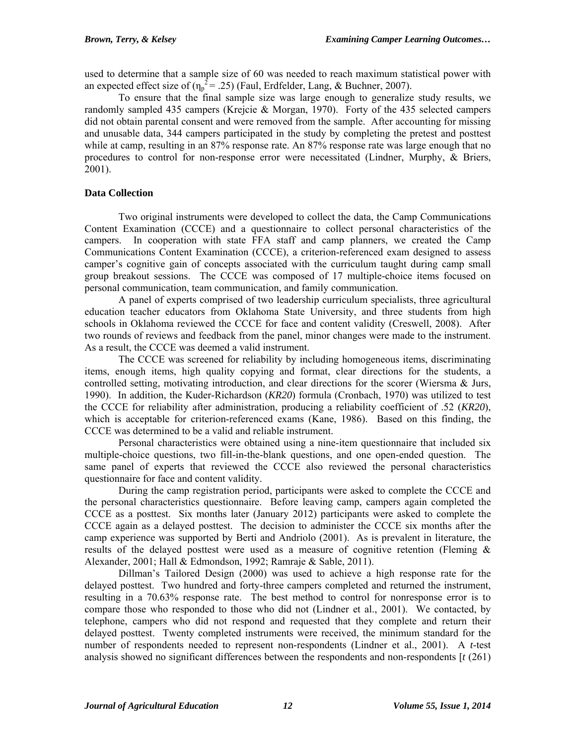used to determine that a sample size of 60 was needed to reach maximum statistical power with an expected effect size of  $(\eta_p^2 = 0.25)$  (Faul, Erdfelder, Lang, & Buchner, 2007).

To ensure that the final sample size was large enough to generalize study results, we randomly sampled 435 campers (Krejcie & Morgan, 1970). Forty of the 435 selected campers did not obtain parental consent and were removed from the sample. After accounting for missing and unusable data, 344 campers participated in the study by completing the pretest and posttest while at camp, resulting in an 87% response rate. An 87% response rate was large enough that no procedures to control for non-response error were necessitated (Lindner, Murphy, & Briers, 2001).

# **Data Collection**

Two original instruments were developed to collect the data, the Camp Communications Content Examination (CCCE) and a questionnaire to collect personal characteristics of the campers. In cooperation with state FFA staff and camp planners, we created the Camp Communications Content Examination (CCCE), a criterion-referenced exam designed to assess camper's cognitive gain of concepts associated with the curriculum taught during camp small group breakout sessions. The CCCE was composed of 17 multiple-choice items focused on personal communication, team communication, and family communication.

A panel of experts comprised of two leadership curriculum specialists, three agricultural education teacher educators from Oklahoma State University, and three students from high schools in Oklahoma reviewed the CCCE for face and content validity (Creswell, 2008). After two rounds of reviews and feedback from the panel, minor changes were made to the instrument. As a result, the CCCE was deemed a valid instrument.

The CCCE was screened for reliability by including homogeneous items, discriminating items, enough items, high quality copying and format, clear directions for the students, a controlled setting, motivating introduction, and clear directions for the scorer (Wiersma & Jurs, 1990). In addition, the Kuder-Richardson (*KR20*) formula (Cronbach, 1970) was utilized to test the CCCE for reliability after administration, producing a reliability coefficient of .52 (*KR20*), which is acceptable for criterion-referenced exams (Kane, 1986). Based on this finding, the CCCE was determined to be a valid and reliable instrument.

Personal characteristics were obtained using a nine-item questionnaire that included six multiple-choice questions, two fill-in-the-blank questions, and one open-ended question. The same panel of experts that reviewed the CCCE also reviewed the personal characteristics questionnaire for face and content validity.

During the camp registration period, participants were asked to complete the CCCE and the personal characteristics questionnaire. Before leaving camp, campers again completed the CCCE as a posttest. Six months later (January 2012) participants were asked to complete the CCCE again as a delayed posttest. The decision to administer the CCCE six months after the camp experience was supported by Berti and Andriolo (2001). As is prevalent in literature, the results of the delayed posttest were used as a measure of cognitive retention (Fleming  $\&$ Alexander, 2001; Hall & Edmondson, 1992; Ramraje & Sable, 2011).

Dillman's Tailored Design (2000) was used to achieve a high response rate for the delayed posttest. Two hundred and forty-three campers completed and returned the instrument, resulting in a 70.63% response rate. The best method to control for nonresponse error is to compare those who responded to those who did not (Lindner et al., 2001). We contacted, by telephone, campers who did not respond and requested that they complete and return their delayed posttest. Twenty completed instruments were received, the minimum standard for the number of respondents needed to represent non-respondents (Lindner et al., 2001). A *t*-test analysis showed no significant differences between the respondents and non-respondents [*t* (261)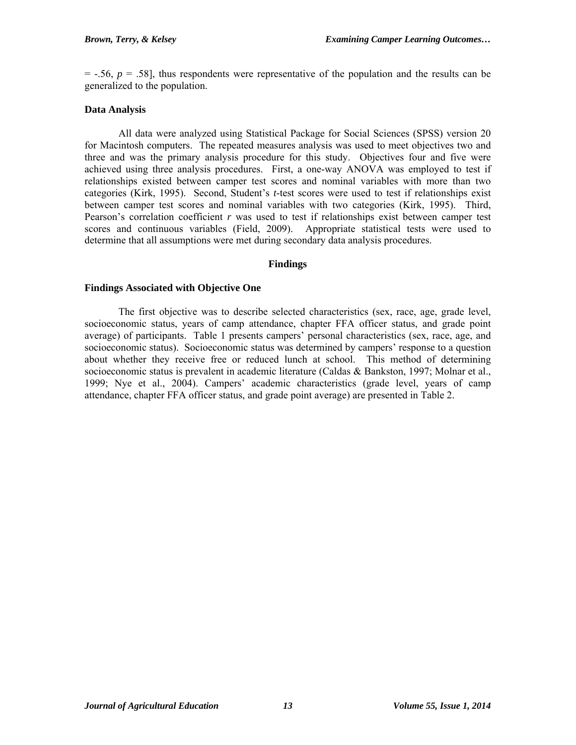$=$  -.56,  $p = .58$ ], thus respondents were representative of the population and the results can be generalized to the population.

### **Data Analysis**

All data were analyzed using Statistical Package for Social Sciences (SPSS) version 20 for Macintosh computers. The repeated measures analysis was used to meet objectives two and three and was the primary analysis procedure for this study. Objectives four and five were achieved using three analysis procedures. First, a one-way ANOVA was employed to test if relationships existed between camper test scores and nominal variables with more than two categories (Kirk, 1995). Second, Student's *t*-test scores were used to test if relationships exist between camper test scores and nominal variables with two categories (Kirk, 1995). Third, Pearson's correlation coefficient *r* was used to test if relationships exist between camper test scores and continuous variables (Field, 2009). Appropriate statistical tests were used to determine that all assumptions were met during secondary data analysis procedures.

### **Findings**

### **Findings Associated with Objective One**

The first objective was to describe selected characteristics (sex, race, age, grade level, socioeconomic status, years of camp attendance, chapter FFA officer status, and grade point average) of participants. Table 1 presents campers' personal characteristics (sex, race, age, and socioeconomic status). Socioeconomic status was determined by campers' response to a question about whether they receive free or reduced lunch at school. This method of determining socioeconomic status is prevalent in academic literature (Caldas & Bankston, 1997; Molnar et al., 1999; Nye et al., 2004). Campers' academic characteristics (grade level, years of camp attendance, chapter FFA officer status, and grade point average) are presented in Table 2.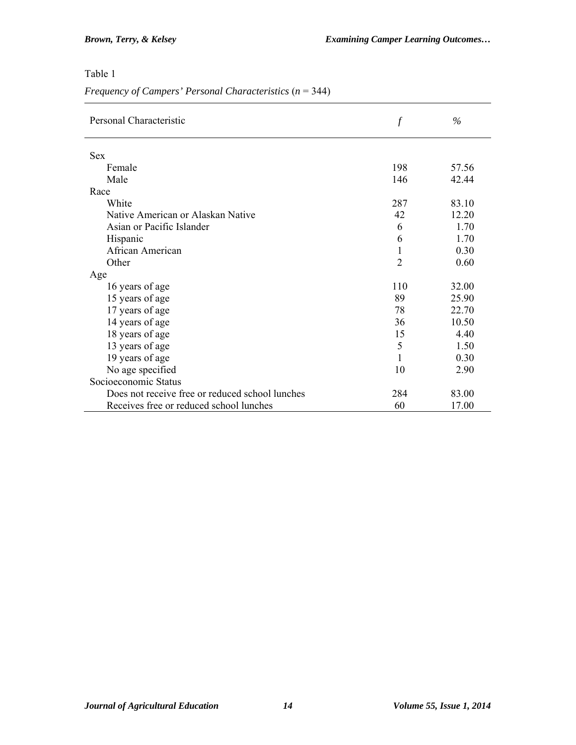# Table 1

|  |  | Frequency of Campers' Personal Characteristics $(n = 344)$ |  |  |  |
|--|--|------------------------------------------------------------|--|--|--|
|  |  |                                                            |  |  |  |

| Personal Characteristic                         | $\mathcal{f}$  | $\%$  |
|-------------------------------------------------|----------------|-------|
| <b>Sex</b>                                      |                |       |
| Female                                          | 198            | 57.56 |
| Male                                            | 146            | 42.44 |
| Race                                            |                |       |
| White                                           | 287            | 83.10 |
| Native American or Alaskan Native               | 42             | 12.20 |
| Asian or Pacific Islander                       | 6              | 1.70  |
| Hispanic                                        | 6              | 1.70  |
| African American                                | 1              | 0,30  |
| Other                                           | $\mathfrak{D}$ | 0.60  |
| Age                                             |                |       |
| 16 years of age                                 | 110            | 32.00 |
| 15 years of age                                 | 89             | 25.90 |
| 17 years of age                                 | 78             | 22.70 |
| 14 years of age                                 | 36             | 10.50 |
| 18 years of age                                 | 15             | 4.40  |
| 13 years of age                                 | 5              | 1.50  |
| 19 years of age                                 | 1              | 0.30  |
| No age specified                                | 10             | 2.90  |
| Socioeconomic Status                            |                |       |
| Does not receive free or reduced school lunches | 284            | 83.00 |
| Receives free or reduced school lunches         | 60             | 17.00 |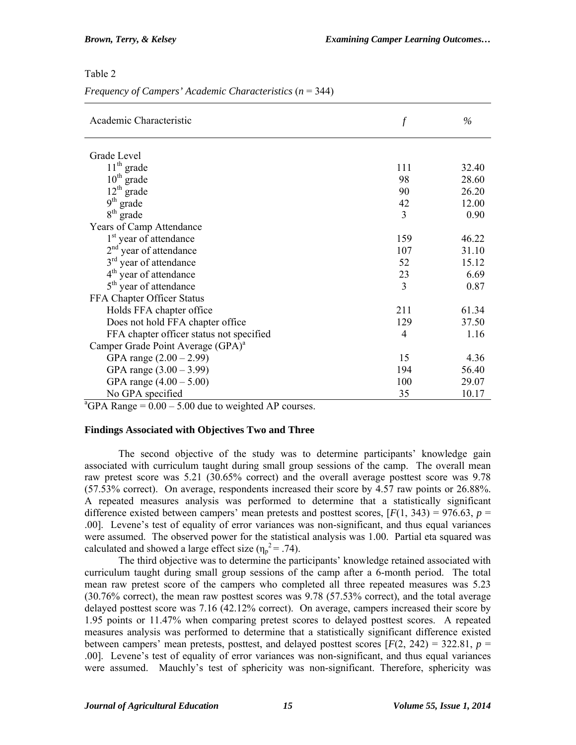### Table 2

| Frequency of Campers' Academic Characteristics $(n = 344)$ |  |  |  |  |
|------------------------------------------------------------|--|--|--|--|
|                                                            |  |  |  |  |

| Academic Characteristic                                            | $\boldsymbol{f}$ | $\%$  |
|--------------------------------------------------------------------|------------------|-------|
| Grade Level                                                        |                  |       |
| $11th$ grade                                                       | 111              | 32.40 |
| $10th$ grade                                                       | 98               | 28.60 |
| $12th$ grade                                                       | 90               | 26.20 |
| $9^{th}$ grade                                                     | 42               | 12.00 |
| $8th$ grade                                                        | 3                | 0.90  |
| Years of Camp Attendance                                           |                  |       |
| 1 <sup>st</sup> year of attendance                                 | 159              | 46.22 |
| $2nd$ year of attendance                                           | 107              | 31.10 |
| 3 <sup>rd</sup> year of attendance                                 | 52               | 15.12 |
| $4th$ year of attendance                                           | 23               | 6.69  |
| 5 <sup>th</sup> year of attendance                                 | $\mathcal{E}$    | 0.87  |
| FFA Chapter Officer Status                                         |                  |       |
| Holds FFA chapter office                                           | 211              | 61.34 |
| Does not hold FFA chapter office                                   | 129              | 37.50 |
| FFA chapter officer status not specified                           | 4                | 1.16  |
| Camper Grade Point Average (GPA) <sup>a</sup>                      |                  |       |
| GPA range $(2.00 - 2.99)$                                          | 15               | 4.36  |
| GPA range $(3.00 - 3.99)$                                          | 194              | 56.40 |
| GPA range $(4.00 - 5.00)$                                          | 100              | 29.07 |
| No GPA specified                                                   | 35               | 10.17 |
| <sup>a</sup> GPA Range = $0.00 - 5.00$ due to weighted AP courses. |                  |       |

### **Findings Associated with Objectives Two and Three**

The second objective of the study was to determine participants' knowledge gain associated with curriculum taught during small group sessions of the camp. The overall mean raw pretest score was 5.21 (30.65% correct) and the overall average posttest score was 9.78 (57.53% correct). On average, respondents increased their score by 4.57 raw points or 26.88%. A repeated measures analysis was performed to determine that a statistically significant difference existed between campers' mean pretests and posttest scores,  $[F(1, 343) = 976.63, p =$ .00]. Levene's test of equality of error variances was non-significant, and thus equal variances were assumed. The observed power for the statistical analysis was 1.00. Partial eta squared was calculated and showed a large effect size  $(\eta_p^2 = .74)$ .

The third objective was to determine the participants' knowledge retained associated with curriculum taught during small group sessions of the camp after a 6-month period. The total mean raw pretest score of the campers who completed all three repeated measures was 5.23 (30.76% correct), the mean raw posttest scores was 9.78 (57.53% correct), and the total average delayed posttest score was 7.16 (42.12% correct). On average, campers increased their score by 1.95 points or 11.47% when comparing pretest scores to delayed posttest scores. A repeated measures analysis was performed to determine that a statistically significant difference existed between campers' mean pretests, posttest, and delayed posttest scores  $[F(2, 242) = 322.81, p =$ .00]. Levene's test of equality of error variances was non-significant, and thus equal variances were assumed. Mauchly's test of sphericity was non-significant. Therefore, sphericity was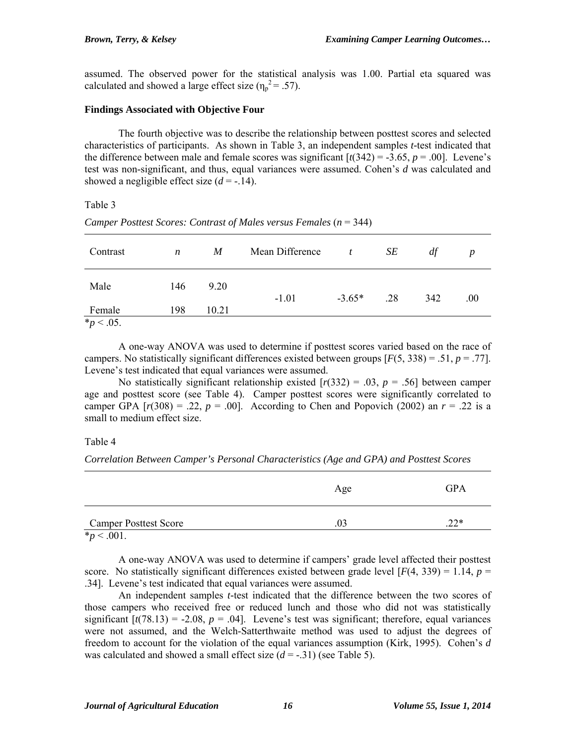assumed. The observed power for the statistical analysis was 1.00. Partial eta squared was calculated and showed a large effect size  $(\eta_p^2 = .57)$ .

### **Findings Associated with Objective Four**

The fourth objective was to describe the relationship between posttest scores and selected characteristics of participants. As shown in Table 3, an independent samples *t-*test indicated that the difference between male and female scores was significant  $[t(342) = -3.65, p = .00]$ . Levene's test was non-significant, and thus, equal variances were assumed. Cohen's *d* was calculated and showed a negligible effect size  $(d = -14)$ .

### Table 3

| Contrast                 | $\boldsymbol{n}$ | M     | Mean Difference | $\mathbf{t}$ | SE  | df  | $\boldsymbol{p}$ |
|--------------------------|------------------|-------|-----------------|--------------|-----|-----|------------------|
| Male                     | 146              | 9.20  | $-1.01$         | $-3.65*$     | .28 | 342 | .00.             |
| Female                   | 198              | 10.21 |                 |              |     |     |                  |
| $\frac{1}{2} p < 0.05$ . |                  |       |                 |              |     |     |                  |

*Camper Posttest Scores: Contrast of Males versus Females (n = 344)* 

A one-way ANOVA was used to determine if posttest scores varied based on the race of campers. No statistically significant differences existed between groups  $[F(5, 338) = .51, p = .77]$ . Levene's test indicated that equal variances were assumed.

No statistically significant relationship existed  $[r(332) = .03, p = .56]$  between camper age and posttest score (see Table 4). Camper posttest scores were significantly correlated to camper GPA  $[r(308) = .22, p = .00]$ . According to Chen and Popovich (2002) an  $r = .22$  is a small to medium effect size.

### Table 4

*Correlation Between Camper's Personal Characteristics (Age and GPA) and Posttest Scores* 

|                              | Age | GPA |
|------------------------------|-----|-----|
| <b>Camper Posttest Score</b> | 0.3 | つつ* |
| $*_{p}$ < .001.              |     |     |

A one-way ANOVA was used to determine if campers' grade level affected their posttest score. No statistically significant differences existed between grade level  $[F(4, 339) = 1.14, p =$ .34]. Levene's test indicated that equal variances were assumed.

An independent samples *t-*test indicated that the difference between the two scores of those campers who received free or reduced lunch and those who did not was statistically significant  $[t(78.13) = -2.08, p = .04]$ . Levene's test was significant; therefore, equal variances were not assumed, and the Welch-Satterthwaite method was used to adjust the degrees of freedom to account for the violation of the equal variances assumption (Kirk, 1995). Cohen's *d*  was calculated and showed a small effect size  $(d = -0.31)$  (see Table 5).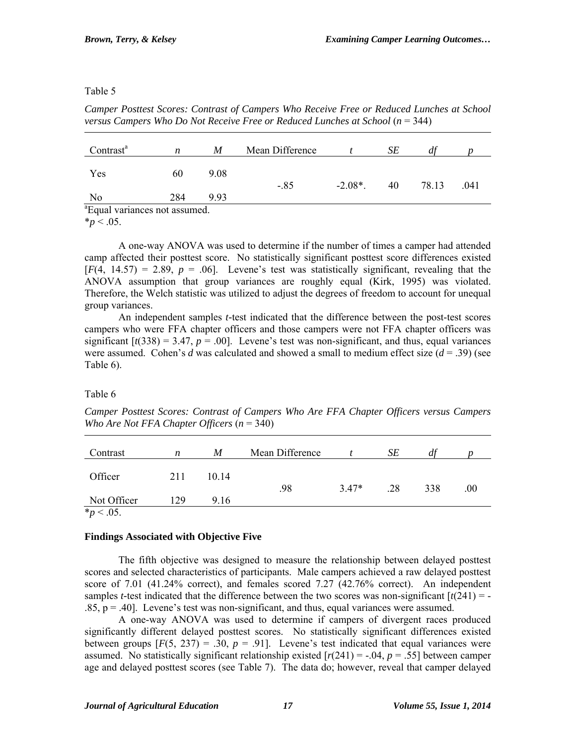### Table 5

*Camper Posttest Scores: Contrast of Campers Who Receive Free or Reduced Lunches at School versus Campers Who Do Not Receive Free or Reduced Lunches at School* ( $n = 344$ )

| Contrast <sup>a</sup>           | n   | M    | Mean Difference |            | SЕ |       |      |
|---------------------------------|-----|------|-----------------|------------|----|-------|------|
|                                 |     |      |                 |            |    |       |      |
| Yes                             | 60  | 9.08 | $-.85$          | $-2.08*$ . | 40 | 78.13 | .041 |
| No                              | 284 | 993  |                 |            |    |       |      |
| $3\Gamma$ 1 $\Gamma$ 1 $\Gamma$ |     |      |                 |            |    |       |      |

<sup>a</sup> Equal variances not assumed.

 $*_{p}$  < .05.

A one-way ANOVA was used to determine if the number of times a camper had attended camp affected their posttest score. No statistically significant posttest score differences existed  $[F(4, 14.57) = 2.89, p = .06]$ . Levene's test was statistically significant, revealing that the ANOVA assumption that group variances are roughly equal (Kirk, 1995) was violated. Therefore, the Welch statistic was utilized to adjust the degrees of freedom to account for unequal group variances.

An independent samples *t-*test indicated that the difference between the post-test scores campers who were FFA chapter officers and those campers were not FFA chapter officers was significant  $[t(338) = 3.47, p = .00]$ . Levene's test was non-significant, and thus, equal variances were assumed. Cohen's *d* was calculated and showed a small to medium effect size (*d* = .39) (see Table 6).

# Table 6

*Camper Posttest Scores: Contrast of Campers Who Are FFA Chapter Officers versus Campers Who Are Not FFA Chapter Officers* (*n* = 340)

| Contrast           | n   | M     | Mean Difference |         | SЕ  | df  |     |
|--------------------|-----|-------|-----------------|---------|-----|-----|-----|
| Officer            | 211 | 10 14 |                 |         |     |     |     |
|                    |     |       | .98             | $3.47*$ | .28 | 338 | .00 |
| Not Officer        | 129 | 9.16  |                 |         |     |     |     |
| $\star$ $\sim$ 0.5 |     |       |                 |         |     |     |     |

 $*_{p}$  < .05.

# **Findings Associated with Objective Five**

The fifth objective was designed to measure the relationship between delayed posttest scores and selected characteristics of participants. Male campers achieved a raw delayed posttest score of 7.01 (41.24% correct), and females scored 7.27 (42.76% correct). An independent samples *t*-test indicated that the difference between the two scores was non-significant  $\left[\frac{t(241)}{2}\right]$  = - $.85$ ,  $p = .40$ . Levene's test was non-significant, and thus, equal variances were assumed.

A one-way ANOVA was used to determine if campers of divergent races produced significantly different delayed posttest scores. No statistically significant differences existed between groups  $[F(5, 237) = .30, p = .91]$ . Levene's test indicated that equal variances were assumed. No statistically significant relationship existed  $[r(241) = -.04, p = .55]$  between camper age and delayed posttest scores (see Table 7). The data do; however, reveal that camper delayed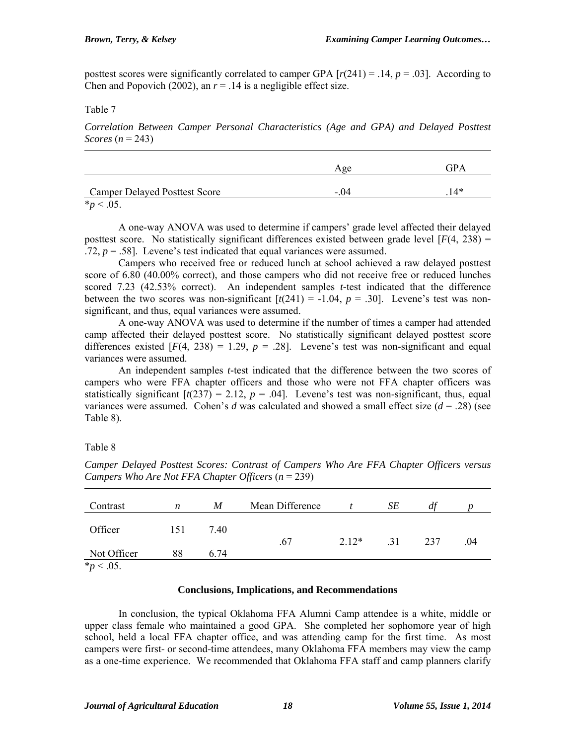posttest scores were significantly correlated to camper GPA  $[r(241) = .14, p = .03]$ . According to Chen and Popovich (2002), an  $r = .14$  is a negligible effect size.

### Table 7

*Correlation Between Camper Personal Characteristics (Age and GPA) and Delayed Posttest Scores*  $(n = 243)$ 

|                                      | Age    | GPA   |
|--------------------------------------|--------|-------|
| <b>Camper Delayed Posttest Score</b> | $-.04$ | $14*$ |
| $\sim 0.7$                           |        |       |

 $*_{p}$  < .05.

A one-way ANOVA was used to determine if campers' grade level affected their delayed posttest score. No statistically significant differences existed between grade level  $[F(4, 238) =$ .72,  $p = .58$ ]. Levene's test indicated that equal variances were assumed.

Campers who received free or reduced lunch at school achieved a raw delayed posttest score of 6.80 (40.00% correct), and those campers who did not receive free or reduced lunches scored 7.23 (42.53% correct). An independent samples *t-*test indicated that the difference between the two scores was non-significant  $[t(241) = -1.04, p = .30]$ . Levene's test was nonsignificant, and thus, equal variances were assumed.

A one-way ANOVA was used to determine if the number of times a camper had attended camp affected their delayed posttest score. No statistically significant delayed posttest score differences existed  $[F(4, 238) = 1.29, p = .28]$ . Levene's test was non-significant and equal variances were assumed.

An independent samples *t-*test indicated that the difference between the two scores of campers who were FFA chapter officers and those who were not FFA chapter officers was statistically significant  $\left[\frac{t(237)}{2}\right] = 2.12$ ,  $p = .04$ . Levene's test was non-significant, thus, equal variances were assumed. Cohen's *d* was calculated and showed a small effect size  $(d = .28)$  (see Table 8).

Table 8

| Contrast         | n   | M    | Mean Difference |         | SЕ  | df  |     |
|------------------|-----|------|-----------------|---------|-----|-----|-----|
| Officer          | 151 | 7.40 |                 |         |     |     |     |
|                  |     |      | .67             | $2.12*$ | .31 | 237 | .04 |
| Not Officer      | 88  | 6.74 |                 |         |     |     |     |
| <i>*p</i> < .05. |     |      |                 |         |     |     |     |

*Camper Delayed Posttest Scores: Contrast of Campers Who Are FFA Chapter Officers versus Campers Who Are Not FFA Chapter Officers* (*n* = 239)

### **Conclusions, Implications, and Recommendations**

In conclusion, the typical Oklahoma FFA Alumni Camp attendee is a white, middle or upper class female who maintained a good GPA. She completed her sophomore year of high school, held a local FFA chapter office, and was attending camp for the first time. As most campers were first- or second-time attendees, many Oklahoma FFA members may view the camp as a one-time experience. We recommended that Oklahoma FFA staff and camp planners clarify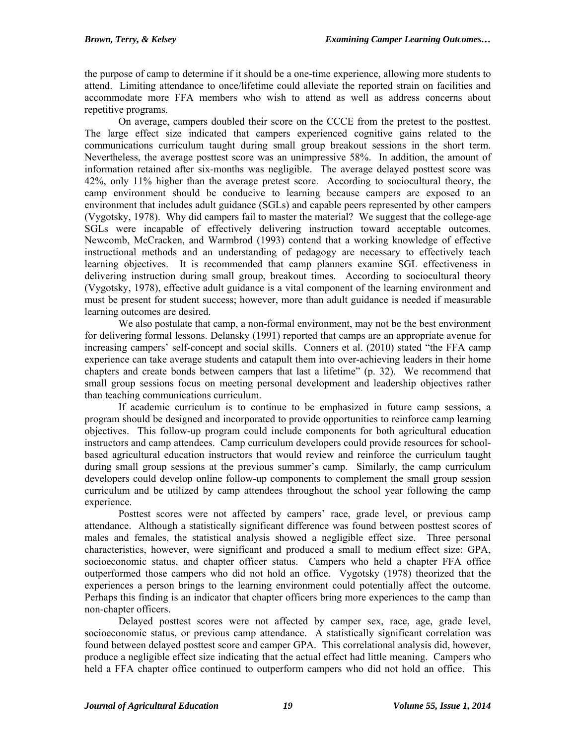the purpose of camp to determine if it should be a one-time experience, allowing more students to attend. Limiting attendance to once/lifetime could alleviate the reported strain on facilities and accommodate more FFA members who wish to attend as well as address concerns about repetitive programs.

On average, campers doubled their score on the CCCE from the pretest to the posttest. The large effect size indicated that campers experienced cognitive gains related to the communications curriculum taught during small group breakout sessions in the short term. Nevertheless, the average posttest score was an unimpressive 58%. In addition, the amount of information retained after six-months was negligible. The average delayed posttest score was 42%, only 11% higher than the average pretest score. According to sociocultural theory, the camp environment should be conducive to learning because campers are exposed to an environment that includes adult guidance (SGLs) and capable peers represented by other campers (Vygotsky, 1978). Why did campers fail to master the material? We suggest that the college-age SGLs were incapable of effectively delivering instruction toward acceptable outcomes. Newcomb, McCracken, and Warmbrod (1993) contend that a working knowledge of effective instructional methods and an understanding of pedagogy are necessary to effectively teach learning objectives. It is recommended that camp planners examine SGL effectiveness in delivering instruction during small group, breakout times. According to sociocultural theory (Vygotsky, 1978), effective adult guidance is a vital component of the learning environment and must be present for student success; however, more than adult guidance is needed if measurable learning outcomes are desired.

We also postulate that camp, a non-formal environment, may not be the best environment for delivering formal lessons. Delansky (1991) reported that camps are an appropriate avenue for increasing campers' self-concept and social skills. Conners et al. (2010) stated "the FFA camp experience can take average students and catapult them into over-achieving leaders in their home chapters and create bonds between campers that last a lifetime" (p. 32). We recommend that small group sessions focus on meeting personal development and leadership objectives rather than teaching communications curriculum.

If academic curriculum is to continue to be emphasized in future camp sessions, a program should be designed and incorporated to provide opportunities to reinforce camp learning objectives. This follow-up program could include components for both agricultural education instructors and camp attendees. Camp curriculum developers could provide resources for schoolbased agricultural education instructors that would review and reinforce the curriculum taught during small group sessions at the previous summer's camp. Similarly, the camp curriculum developers could develop online follow-up components to complement the small group session curriculum and be utilized by camp attendees throughout the school year following the camp experience.

Posttest scores were not affected by campers' race, grade level, or previous camp attendance. Although a statistically significant difference was found between posttest scores of males and females, the statistical analysis showed a negligible effect size. Three personal characteristics, however, were significant and produced a small to medium effect size: GPA, socioeconomic status, and chapter officer status. Campers who held a chapter FFA office outperformed those campers who did not hold an office. Vygotsky (1978) theorized that the experiences a person brings to the learning environment could potentially affect the outcome. Perhaps this finding is an indicator that chapter officers bring more experiences to the camp than non-chapter officers.

Delayed posttest scores were not affected by camper sex, race, age, grade level, socioeconomic status, or previous camp attendance. A statistically significant correlation was found between delayed posttest score and camper GPA. This correlational analysis did, however, produce a negligible effect size indicating that the actual effect had little meaning. Campers who held a FFA chapter office continued to outperform campers who did not hold an office. This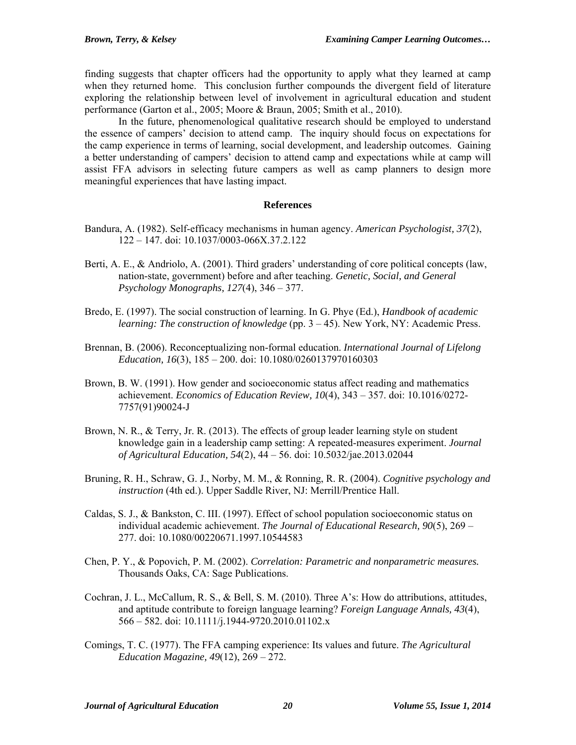finding suggests that chapter officers had the opportunity to apply what they learned at camp when they returned home. This conclusion further compounds the divergent field of literature exploring the relationship between level of involvement in agricultural education and student performance (Garton et al., 2005; Moore & Braun, 2005; Smith et al., 2010).

In the future, phenomenological qualitative research should be employed to understand the essence of campers' decision to attend camp. The inquiry should focus on expectations for the camp experience in terms of learning, social development, and leadership outcomes. Gaining a better understanding of campers' decision to attend camp and expectations while at camp will assist FFA advisors in selecting future campers as well as camp planners to design more meaningful experiences that have lasting impact.

### **References**

- Bandura, A. (1982). Self-efficacy mechanisms in human agency. *American Psychologist, 37*(2), 122 – 147. doi: 10.1037/0003-066X.37.2.122
- Berti, A. E., & Andriolo, A. (2001). Third graders' understanding of core political concepts (law, nation-state, government) before and after teaching. *Genetic, Social, and General Psychology Monographs, 127*(4), 346 – 377.
- Bredo, E. (1997). The social construction of learning. In G. Phye (Ed.), *Handbook of academic learning: The construction of knowledge* (pp. 3 – 45). New York, NY: Academic Press.
- Brennan, B. (2006). Reconceptualizing non-formal education. *International Journal of Lifelong Education, 16*(3), 185 – 200. doi: 10.1080/0260137970160303
- Brown, B. W. (1991). How gender and socioeconomic status affect reading and mathematics achievement. *Economics of Education Review, 10*(4), 343 – 357. doi: 10.1016/0272- 7757(91)90024-J
- Brown, N. R., & Terry, Jr. R. (2013). The effects of group leader learning style on student knowledge gain in a leadership camp setting: A repeated-measures experiment. *Journal of Agricultural Education, 54*(2), 44 – 56. doi: 10.5032/jae.2013.02044
- Bruning, R. H., Schraw, G. J., Norby, M. M., & Ronning, R. R. (2004). *Cognitive psychology and instruction* (4th ed.). Upper Saddle River, NJ: Merrill/Prentice Hall.
- Caldas, S. J., & Bankston, C. III. (1997). Effect of school population socioeconomic status on individual academic achievement. *The Journal of Educational Research, 90*(5), 269 – 277. doi: 10.1080/00220671.1997.10544583
- Chen, P. Y., & Popovich, P. M. (2002). *Correlation: Parametric and nonparametric measures.*  Thousands Oaks, CA: Sage Publications.
- Cochran, J. L., McCallum, R. S., & Bell, S. M. (2010). Three A's: How do attributions, attitudes, and aptitude contribute to foreign language learning? *Foreign Language Annals, 43*(4), 566 – 582. doi: 10.1111/j.1944-9720.2010.01102.x
- Comings, T. C. (1977). The FFA camping experience: Its values and future. *The Agricultural Education Magazine, 49*(12), 269 – 272.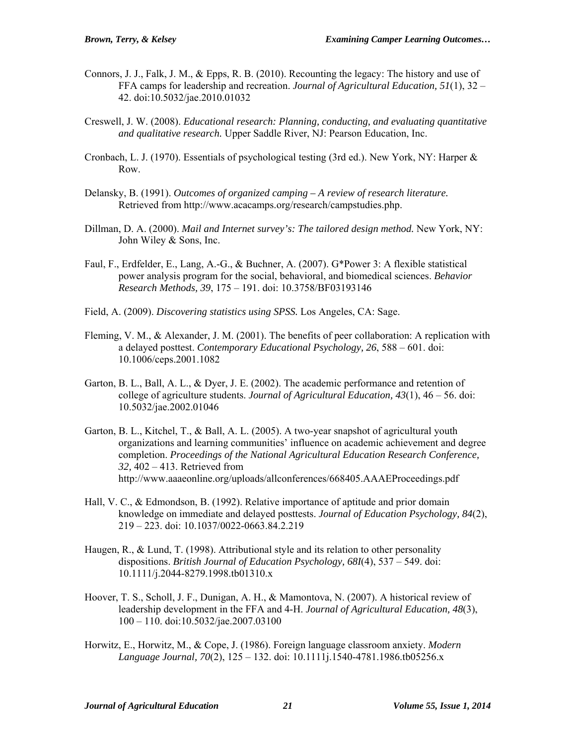- Connors, J. J., Falk, J. M., & Epps, R. B. (2010). Recounting the legacy: The history and use of FFA camps for leadership and recreation. *Journal of Agricultural Education, 51*(1), 32 – 42. doi:10.5032/jae.2010.01032
- Creswell, J. W. (2008). *Educational research: Planning, conducting, and evaluating quantitative and qualitative research.* Upper Saddle River, NJ: Pearson Education, Inc.
- Cronbach, L. J. (1970). Essentials of psychological testing (3rd ed.). New York, NY: Harper & Row.
- Delansky, B. (1991). *Outcomes of organized camping A review of research literature.* Retrieved from http://www.acacamps.org/research/campstudies.php.
- Dillman, D. A. (2000). *Mail and Internet survey's: The tailored design method.* New York, NY: John Wiley & Sons, Inc.
- Faul, F., Erdfelder, E., Lang, A.-G., & Buchner, A. (2007). G\*Power 3: A flexible statistical power analysis program for the social, behavioral, and biomedical sciences. *Behavior Research Methods, 39*, 175 – 191. doi: 10.3758/BF03193146
- Field, A. (2009). *Discovering statistics using SPSS.* Los Angeles, CA: Sage.
- Fleming, V. M., & Alexander, J. M. (2001). The benefits of peer collaboration: A replication with a delayed posttest. *Contemporary Educational Psychology, 26*, 588 – 601. doi: 10.1006/ceps.2001.1082
- Garton, B. L., Ball, A. L., & Dyer, J. E. (2002). The academic performance and retention of college of agriculture students. *Journal of Agricultural Education, 43*(1), 46 – 56. doi: 10.5032/jae.2002.01046
- Garton, B. L., Kitchel, T., & Ball, A. L. (2005). A two-year snapshot of agricultural youth organizations and learning communities' influence on academic achievement and degree completion. *Proceedings of the National Agricultural Education Research Conference, 32,* 402 – 413. Retrieved from http://www.aaaeonline.org/uploads/allconferences/668405.AAAEProceedings.pdf
- Hall, V. C., & Edmondson, B. (1992). Relative importance of aptitude and prior domain knowledge on immediate and delayed posttests. *Journal of Education Psychology, 84*(2), 219 – 223. doi: 10.1037/0022-0663.84.2.219
- Haugen, R., & Lund, T. (1998). Attributional style and its relation to other personality dispositions. *British Journal of Education Psychology, 68I*(4), 537 – 549. doi: 10.1111/j.2044-8279.1998.tb01310.x
- Hoover, T. S., Scholl, J. F., Dunigan, A. H., & Mamontova, N. (2007). A historical review of leadership development in the FFA and 4-H. *Journal of Agricultural Education, 48*(3), 100 – 110. doi:10.5032/jae.2007.03100
- Horwitz, E., Horwitz, M., & Cope, J. (1986). Foreign language classroom anxiety. *Modern Language Journal, 70*(2), 125 – 132. doi: 10.1111j.1540-4781.1986.tb05256.x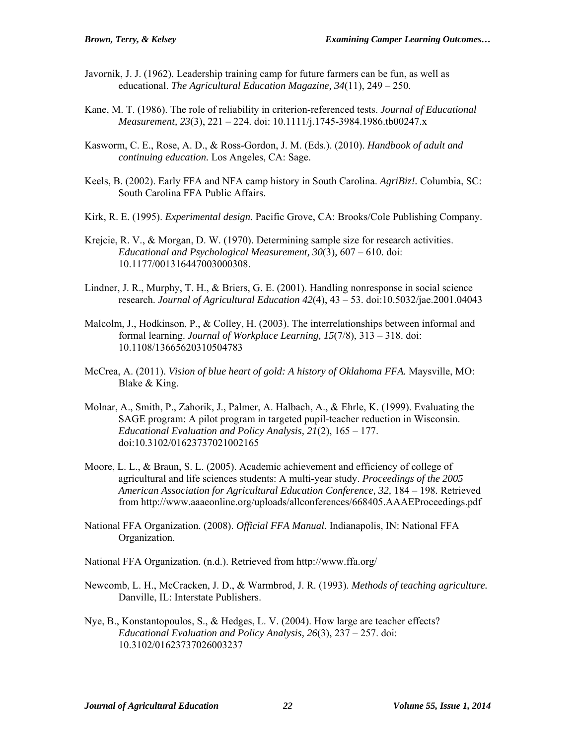- Javornik, J. J. (1962). Leadership training camp for future farmers can be fun, as well as educational. *The Agricultural Education Magazine, 34*(11), 249 – 250.
- Kane, M. T. (1986). The role of reliability in criterion-referenced tests. *Journal of Educational Measurement, 23*(3), 221 – 224. doi: 10.1111/j.1745-3984.1986.tb00247.x
- Kasworm, C. E., Rose, A. D., & Ross-Gordon, J. M. (Eds.). (2010). *Handbook of adult and continuing education.* Los Angeles, CA: Sage.
- Keels, B. (2002). Early FFA and NFA camp history in South Carolina. *AgriBiz!.* Columbia, SC: South Carolina FFA Public Affairs.
- Kirk, R. E. (1995). *Experimental design.* Pacific Grove, CA: Brooks/Cole Publishing Company.
- Krejcie, R. V., & Morgan, D. W. (1970). Determining sample size for research activities. *Educational and Psychological Measurement, 30*(3)*,* 607 – 610. doi: 10.1177/001316447003000308.
- Lindner, J. R., Murphy, T. H., & Briers, G. E. (2001). Handling nonresponse in social science research. *Journal of Agricultural Education 42*(4), 43 – 53. doi:10.5032/jae.2001.04043
- Malcolm, J., Hodkinson, P., & Colley, H. (2003). The interrelationships between informal and formal learning. *Journal of Workplace Learning, 15*(7/8), 313 – 318. doi: 10.1108/13665620310504783
- McCrea, A. (2011). *Vision of blue heart of gold: A history of Oklahoma FFA.* Maysville, MO: Blake & King.
- Molnar, A., Smith, P., Zahorik, J., Palmer, A. Halbach, A., & Ehrle, K. (1999). Evaluating the SAGE program: A pilot program in targeted pupil-teacher reduction in Wisconsin. *Educational Evaluation and Policy Analysis, 21*(2), 165 – 177. doi:10.3102/01623737021002165
- Moore, L. L., & Braun, S. L. (2005). Academic achievement and efficiency of college of agricultural and life sciences students: A multi-year study. *Proceedings of the 2005 American Association for Agricultural Education Conference, 32,* 184 – 198*.* Retrieved from http://www.aaaeonline.org/uploads/allconferences/668405.AAAEProceedings.pdf
- National FFA Organization. (2008). *Official FFA Manual.* Indianapolis, IN: National FFA Organization.
- National FFA Organization. (n.d.). Retrieved from http://www.ffa.org/
- Newcomb, L. H., McCracken, J. D., & Warmbrod, J. R. (1993). *Methods of teaching agriculture.* Danville, IL: Interstate Publishers.
- Nye, B., Konstantopoulos, S., & Hedges, L. V. (2004). How large are teacher effects? *Educational Evaluation and Policy Analysis, 26*(3), 237 – 257. doi: 10.3102/01623737026003237